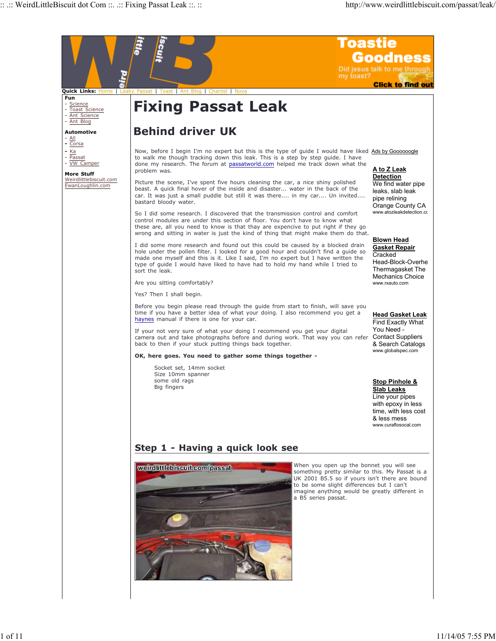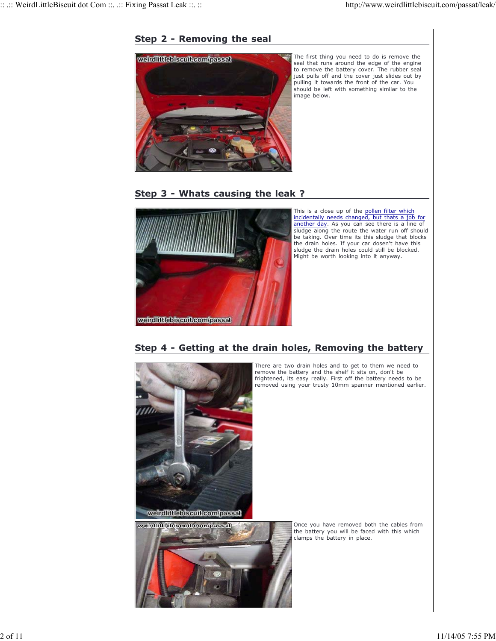

#### **Step 2 - Removing the seal**

The first thing you need to do is remove the seal that runs around the edge of the engine to remove the battery cover. The rubber seal just pulls off and the cover just slides out by pulling it towards the front of the car. You should be left with something similar to the



This is a close up of the pollen filter which incidentally needs changed, but thats a job for another day. As you can see there is a line of sludge along the route the water run off should be taking. Over time its this sludge that blocks the drain holes. If your car dosen't have this sludge the drain holes could still be blocked. Might be worth looking into it anyway.

There are two drain holes and to get to them we need to remove the battery and the shelf it sits on, don't be frightened, its easy really. First off the battery needs to be removed using your trusty 10mm spanner mentioned earlier.

### **Step 4 - Getting at the drain holes, Removing the battery**



weirdlittlebiscuit.com/passat clamps the battery in place.

Once you have removed both the cables from the battery you will be faced with this which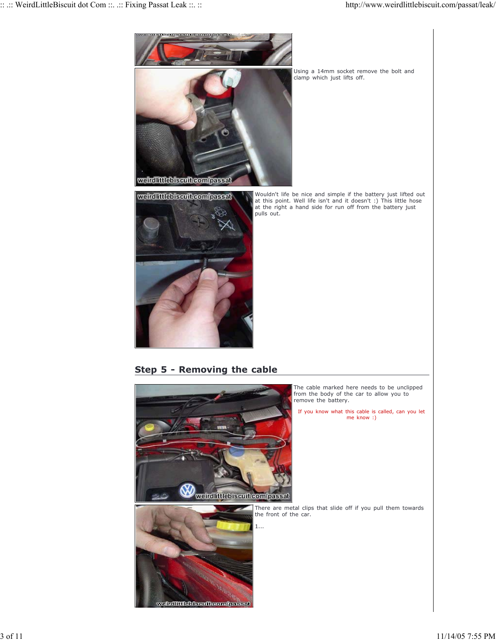





Using a 14mm socket remove the bolt and clamp which just lifts off.

Wouldn't life be nice and simple if the battery just lifted out at this point. Well life isn't and it doesn't :) This little hose at the right a hand side for run off from the battery just pulls out.

**Step 5 - Removing the cable**

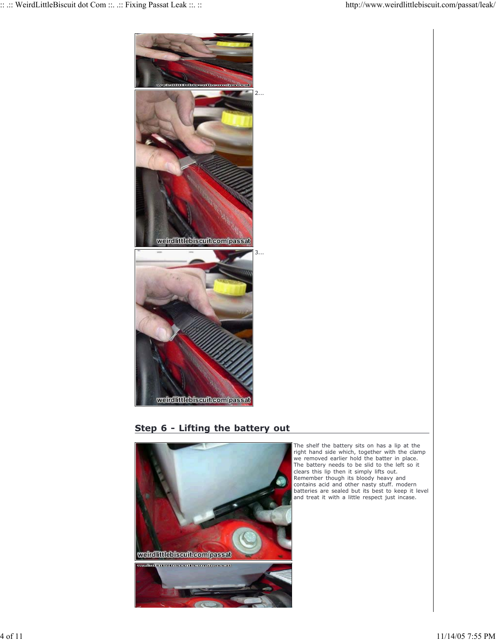

# **Step 6 - Lifting the battery out**



The shelf the battery sits on has a lip at the right hand side which, together with the clamp we removed earlier hold the batter in place. The battery needs to be slid to the left so it clears this lip then it simply lifts out. Remember though its bloody heavy and contains acid and other nasty stuff. modern batteries are sealed but its best to keep it level and treat it with a little respect just incase.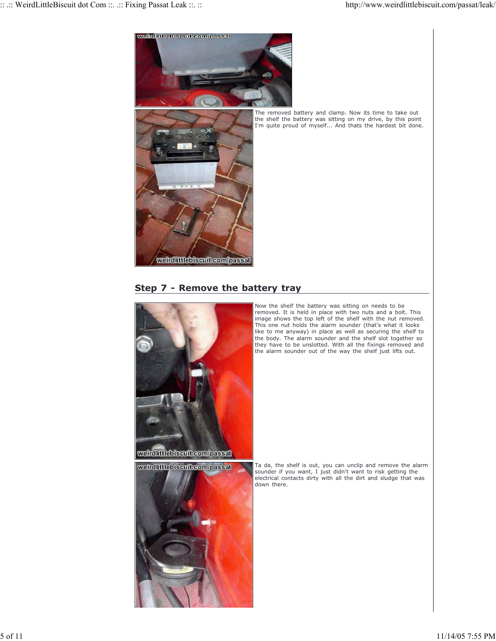

The removed battery and clamp. Now its time to take out the shelf the battery was sitting on my drive, by this point I'm quite proud of myself... And thats the hardest bit done.

#### **Step 7 - Remove the battery tray**



Now the shelf the battery was sitting on needs to be removed. It is held in place with two nuts and a bolt. This image shows the top left of the shelf with the nut removed. This one nut holds the alarm sounder (that's what it looks like to me anyway) in place as well as securing the shelf to the body. The alarm sounder and the shelf slot together so they have to be unslotted. With all the fixings removed and the alarm sounder out of the way the shelf just lifts out.

Ta da, the shelf is out, you can unclip and remove the alarm sounder if you want, I just didn't want to risk getting the electrical contacts dirty with all the dirt and sludge that was down there.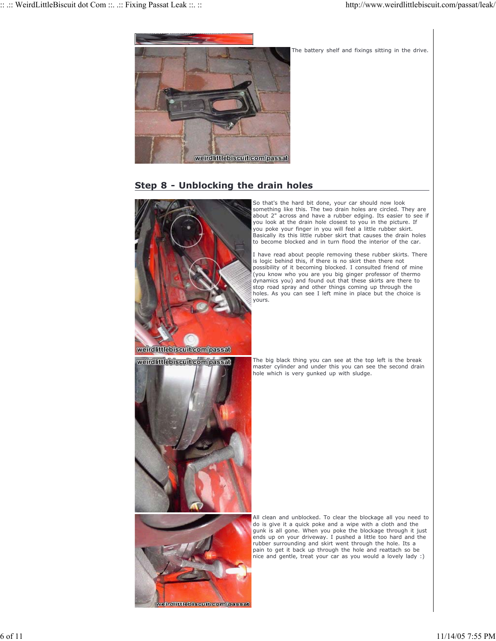

### **Step 8 - Unblocking the drain holes**

eirdlittlebiscuit.com/passat

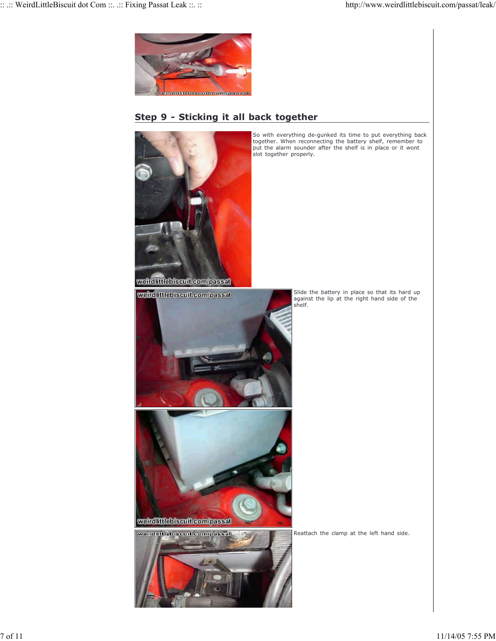

## **Step 9 - Sticking it all back together**



So with everything de-gunked its time to put everything back together. When reconnecting the battery shelf, remember to put the alarm sounder after the shelf is in place or it wont slot together properly.



Slide the battery in place so that its hard up against the lip at the right hand side of the shelf.

Reattach the clamp at the left hand side.



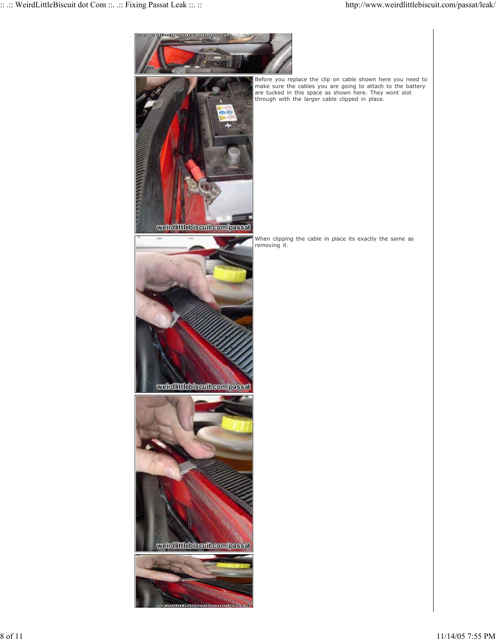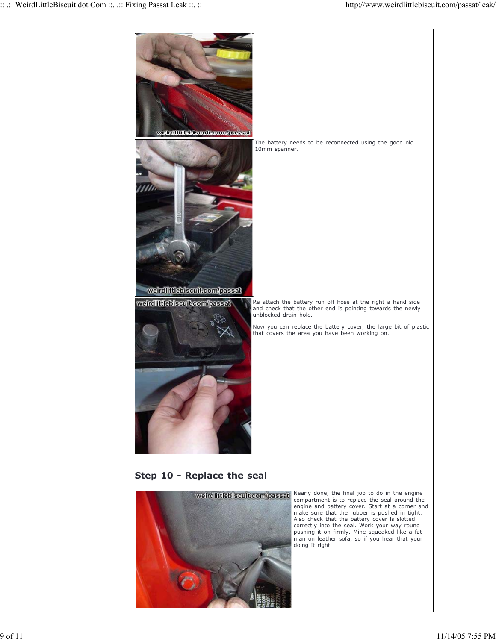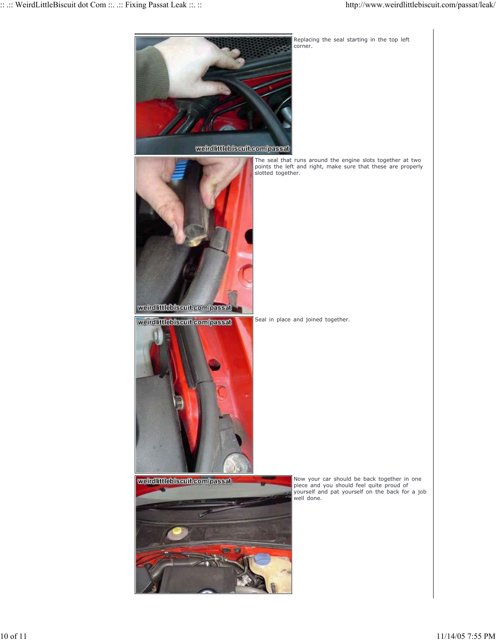